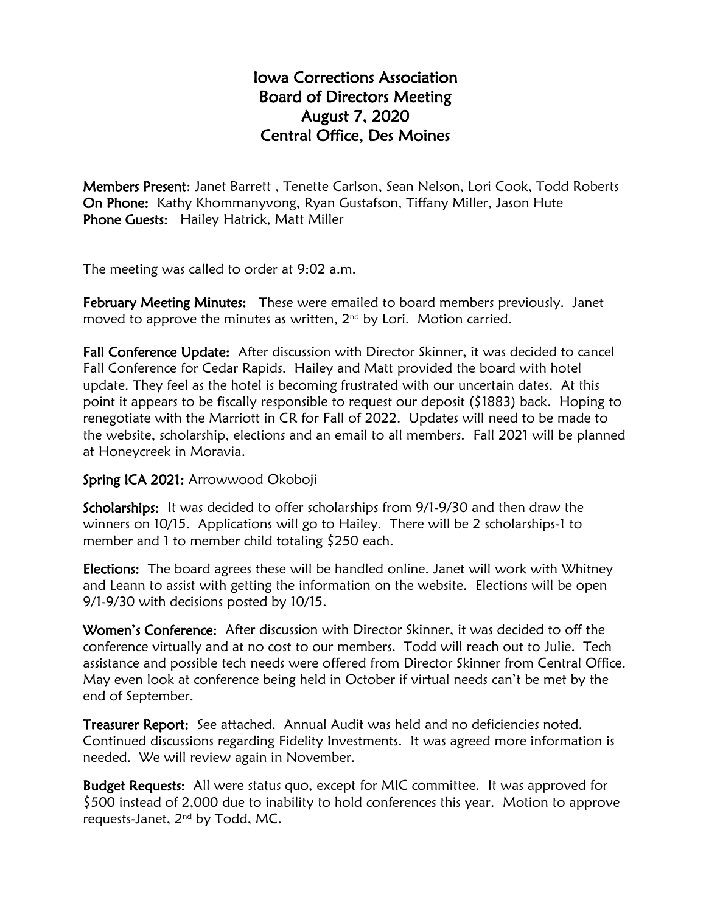## Iowa Corrections Association Board of Directors Meeting August 7, 2020 Central Office, Des Moines

Members Present: Janet Barrett , Tenette Carlson, Sean Nelson, Lori Cook, Todd Roberts On Phone: Kathy Khommanyvong, Ryan Gustafson, Tiffany Miller, Jason Hute Phone Guests: Hailey Hatrick, Matt Miller

The meeting was called to order at 9:02 a.m.

February Meeting Minutes: These were emailed to board members previously. Janet moved to approve the minutes as written,  $2<sup>nd</sup>$  by Lori. Motion carried.

Fall Conference Update: After discussion with Director Skinner, it was decided to cancel Fall Conference for Cedar Rapids. Hailey and Matt provided the board with hotel update. They feel as the hotel is becoming frustrated with our uncertain dates. At this point it appears to be fiscally responsible to request our deposit (\$1883) back. Hoping to renegotiate with the Marriott in CR for Fall of 2022. Updates will need to be made to the website, scholarship, elections and an email to all members. Fall 2021 will be planned at Honeycreek in Moravia.

## Spring ICA 2021: Arrowwood Okoboji

Scholarships: It was decided to offer scholarships from 9/1-9/30 and then draw the winners on 10/15. Applications will go to Hailey. There will be 2 scholarships-1 to member and 1 to member child totaling \$250 each.

Elections: The board agrees these will be handled online. Janet will work with Whitney and Leann to assist with getting the information on the website. Elections will be open 9/1-9/30 with decisions posted by 10/15.

Women's Conference: After discussion with Director Skinner, it was decided to off the conference virtually and at no cost to our members. Todd will reach out to Julie. Tech assistance and possible tech needs were offered from Director Skinner from Central Office. May even look at conference being held in October if virtual needs can't be met by the end of September.

Treasurer Report: See attached. Annual Audit was held and no deficiencies noted. Continued discussions regarding Fidelity Investments. It was agreed more information is needed. We will review again in November.

Budget Requests: All were status quo, except for MIC committee. It was approved for \$500 instead of 2,000 due to inability to hold conferences this year. Motion to approve requests-Janet, 2nd by Todd, MC.